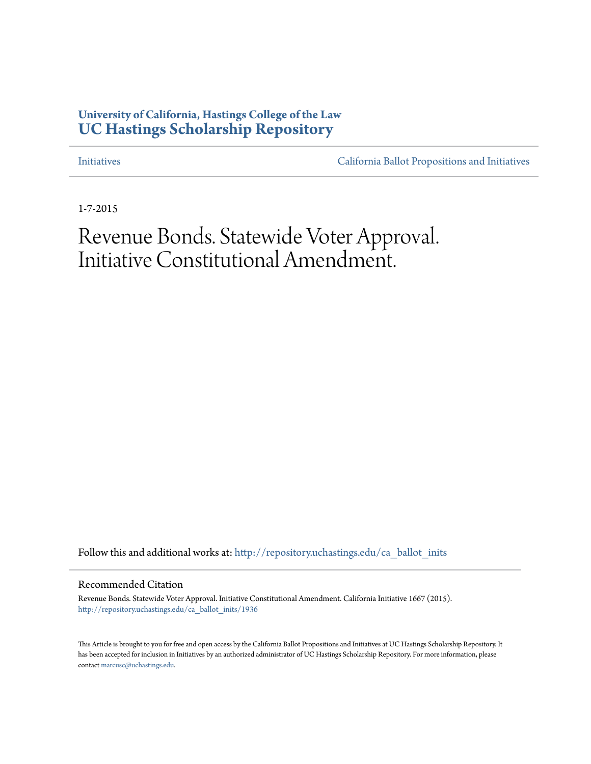# **University of California, Hastings College of the Law [UC Hastings Scholarship Repository](http://repository.uchastings.edu?utm_source=repository.uchastings.edu%2Fca_ballot_inits%2F1936&utm_medium=PDF&utm_campaign=PDFCoverPages)**

[Initiatives](http://repository.uchastings.edu/ca_ballot_inits?utm_source=repository.uchastings.edu%2Fca_ballot_inits%2F1936&utm_medium=PDF&utm_campaign=PDFCoverPages) [California Ballot Propositions and Initiatives](http://repository.uchastings.edu/ca_ballots?utm_source=repository.uchastings.edu%2Fca_ballot_inits%2F1936&utm_medium=PDF&utm_campaign=PDFCoverPages)

1-7-2015

# Revenue Bonds. Statewide Voter Approval. Initiative Constitutional Amendment.

Follow this and additional works at: [http://repository.uchastings.edu/ca\\_ballot\\_inits](http://repository.uchastings.edu/ca_ballot_inits?utm_source=repository.uchastings.edu%2Fca_ballot_inits%2F1936&utm_medium=PDF&utm_campaign=PDFCoverPages)

Recommended Citation

Revenue Bonds. Statewide Voter Approval. Initiative Constitutional Amendment. California Initiative 1667 (2015). [http://repository.uchastings.edu/ca\\_ballot\\_inits/1936](http://repository.uchastings.edu/ca_ballot_inits/1936?utm_source=repository.uchastings.edu%2Fca_ballot_inits%2F1936&utm_medium=PDF&utm_campaign=PDFCoverPages)

This Article is brought to you for free and open access by the California Ballot Propositions and Initiatives at UC Hastings Scholarship Repository. It has been accepted for inclusion in Initiatives by an authorized administrator of UC Hastings Scholarship Repository. For more information, please contact [marcusc@uchastings.edu](mailto:marcusc@uchastings.edu).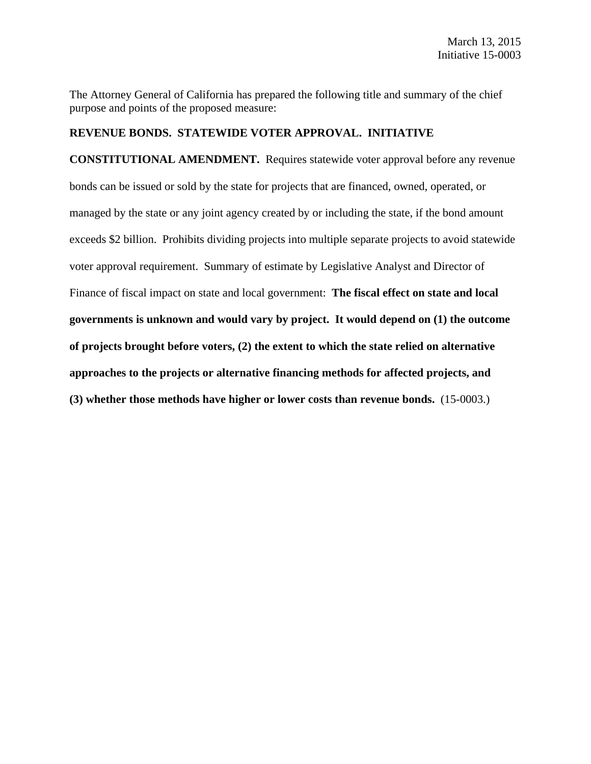The Attorney General of California has prepared the following title and summary of the chief purpose and points of the proposed measure:

# **REVENUE BONDS. STATEWIDE VOTER APPROVAL. INITIATIVE**

**CONSTITUTIONAL AMENDMENT.** Requires statewide voter approval before any revenue bonds can be issued or sold by the state for projects that are financed, owned, operated, or managed by the state or any joint agency created by or including the state, if the bond amount exceeds \$2 billion. Prohibits dividing projects into multiple separate projects to avoid statewide voter approval requirement. Summary of estimate by Legislative Analyst and Director of Finance of fiscal impact on state and local government: **The fiscal effect on state and local governments is unknown and would vary by project. It would depend on (1) the outcome of projects brought before voters, (2) the extent to which the state relied on alternative approaches to the projects or alternative financing methods for affected projects, and (3) whether those methods have higher or lower costs than revenue bonds.** (15-0003.)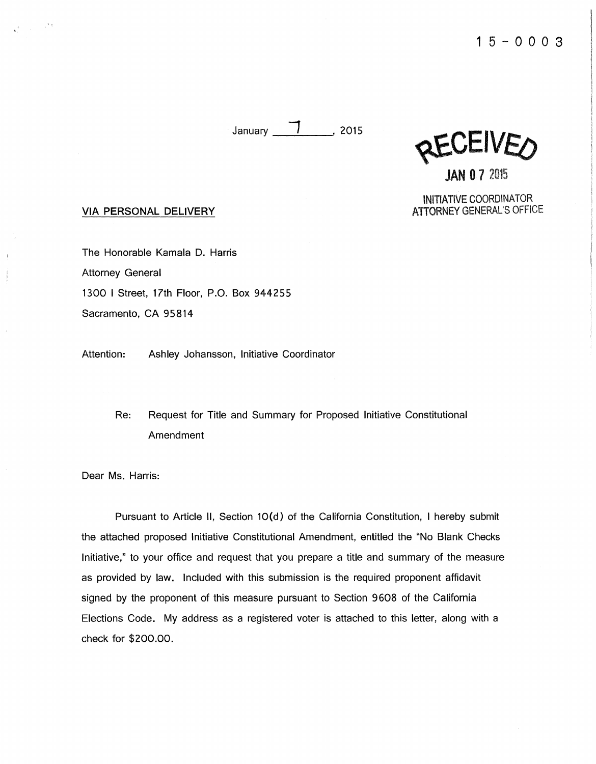$15 - 0003$ 

January \_\_ /...;...\_\_ \_\_ , 2015



INITIATIVE COORDINATOR ATTORNEY GENERAL'S OFFICE

#### VIA PERSONAL DELIVERY

The Honorable Kamala D. Harris Attorney General 1300 I Street, 17th Floor, P.O. Box 944255 Sacramento, CA 95814

Attention: Ashley Johansson, Initiative Coordinator

Re: Request for Title and Summary for Proposed Initiative Constitutional Amendment

Dear Ms. Harris:

Pursuant to Article II, Section 10{d) of the California Constitution, I hereby submit the attached proposed Initiative Constitutional Amendment, entitled the "No Blank Checks Initiative," to your office and request that you prepare a title and summary of the measure as provided by law. Included with this submission is the required proponent affidavit signed by the proponent of this measure pursuant to Section 9608 of the California Elections Code. My address as a registered voter is attached to this letter, along with a check for \$200.00.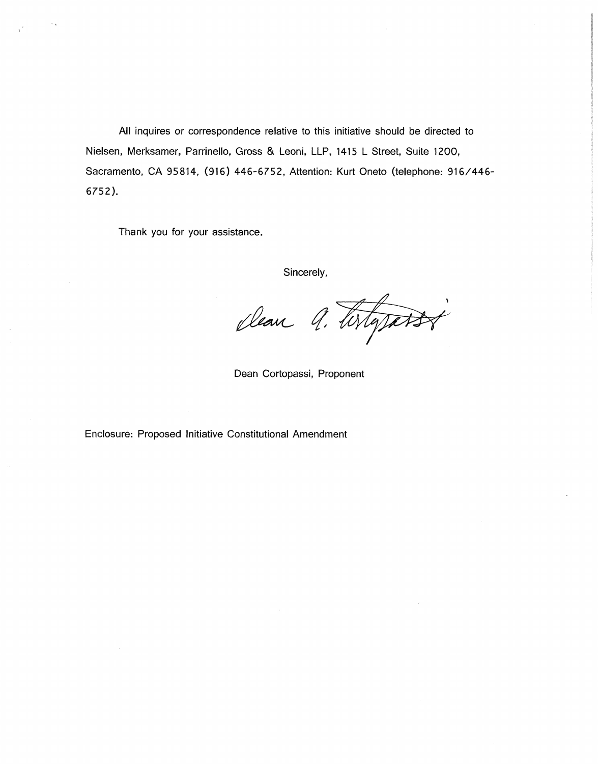All inquires or correspondence relative to this initiative should be directed to Nielsen, Merksamer, Parrinello, Gross & Leoni, LLP, 1415 L Street, Suite 1200, Sacramento, CA 95814, (916) 446-6752, Attention: Kurt Oneto (telephone: 916/446- 6752).

Thank you for your assistance.

 $\langle \cdot \rangle_{\rm t}$ 

Sincerely,

Dean a. Tortysarst

Dean Cortopassi, Proponent

Enclosure: Proposed Initiative Constitutional Amendment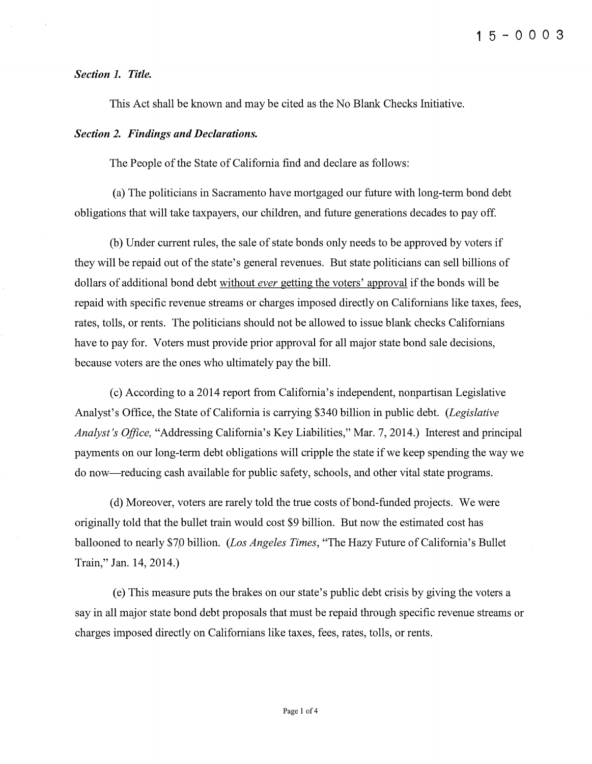## *Section 1. Title.*

This Act shall be known and may be cited as the No Blank Checks Initiative.

## *Section 2. Findings and Declarations.*

The People of the State of California find and declare as follows:

(a) The politicians in Sacramento have mortgaged our future with long-term bond debt obligations that will take taxpayers, our children, and future generations decades to pay off.

(b) Under current rules, the sale of state bonds only needs to be approved by voters if they will be repaid out of the state's general revenues. But state politicians can sell billions of dollars of additional bond debt without *ever* getting the voters' approval if the bonds will be repaid with specific revenue streams or charges imposed directly on Californians like taxes, fees, rates, tolls, or rents. The politicians should not be allowed to issue blank checks Californians have to pay for. Voters must provide prior approval for all major state bond sale decisions, because voters are the ones who ultimately pay the bill.

(c) According to a 2014 report from California's independent, nonpartisan Legislative Analyst's Office, the State of California is carrying \$340 billion in public debt. *(Legislative Analyst's Office,* "Addressing California's Key Liabilities," Mar. 7, 2014.) Interest and principal payments on our long-term debt obligations will cripple the state if we keep spending the way we do now-reducing cash available for public safety, schools, and other vital state programs.

(d) Moreover, voters are rarely told the true costs of bond-funded projects. We were originally told that the bullet train would cost \$9 billion. But now the estimated cost has ballooned to nearly \$70 billion. *(Los Angeles Times,* "The Hazy Future of California's Bullet Train," Jan. 14, 2014.)

(e) This measure puts the brakes on our state's public debt crisis by giving the voters a say in all major state bond debt proposals that must be repaid through specific revenue streams or charges imposed directly on Californians like taxes, fees, rates, tolls, or rents.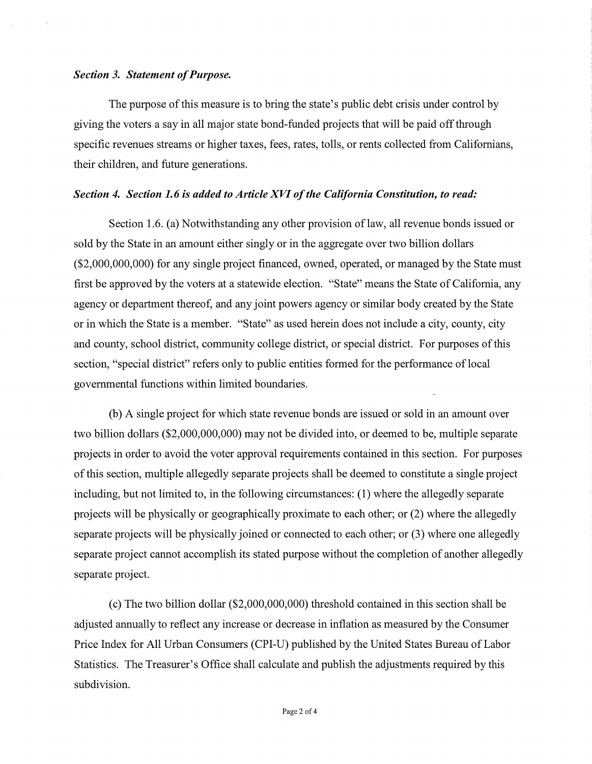# *Section 3. Statement of Purpose.*

The purpose of this measure is to bring the state's public debt crisis under control by giving the voters a say in all major state bond-funded projects that will be paid off through specific revenues streams or higher taxes, fees, rates, tolls, or rents collected from Californians, their children, and future generations.

#### *Section 4. Section 1. 6 is added to Article XVI of the California Constitution, to read:*

Section 1.6. (a) Notwithstanding any other provision of law, all revenue bonds issued or sold by the State in an amount either singly or in the aggregate over two billion dollars (\$2,000,000,000) for any single project financed, owned, operated, or managed by the State must first be approved by the voters at a statewide election. "State" means the State of California, any agency or department thereof, and any joint powers agency or similar body created by the State or in which the State is a member. "State" as used herein does not include a city, county, city and county, school district, community college district, or special district. For purposes of this section, "special district" refers only to public entities formed for the performance of local governmental functions within limited boundaries.

(b) A single project for which state revenue bonds are issued or sold in an amount over two billion dollars (\$2,000,000,000) may not be divided into, or deemed to be, multiple separate projects in order to avoid the voter approval requirements contained in this section. For purposes of this section, multiple allegedly separate projects shall be deemed to constitute a single project including, but not limited to, in the following circumstances: (1) where the allegedly separate projects will be physically or geographically proximate to each other; or (2) where the allegedly separate projects will be physically joined or connected to each other; or (3) where one allegedly separate project cannot accomplish its stated purpose without the completion of another allegedly separate project.

(c) The two billion dollar (\$2,000,000,000) threshold contained in this section shall be adjusted annually to reflect any increase or decrease in inflation as measured by the Consumer Price Index for All Urban Consumers (CPI-U) published by the United States Bureau of Labor Statistics. The Treasurer's Office shall calculate and publish the adjustments required by this subdivision.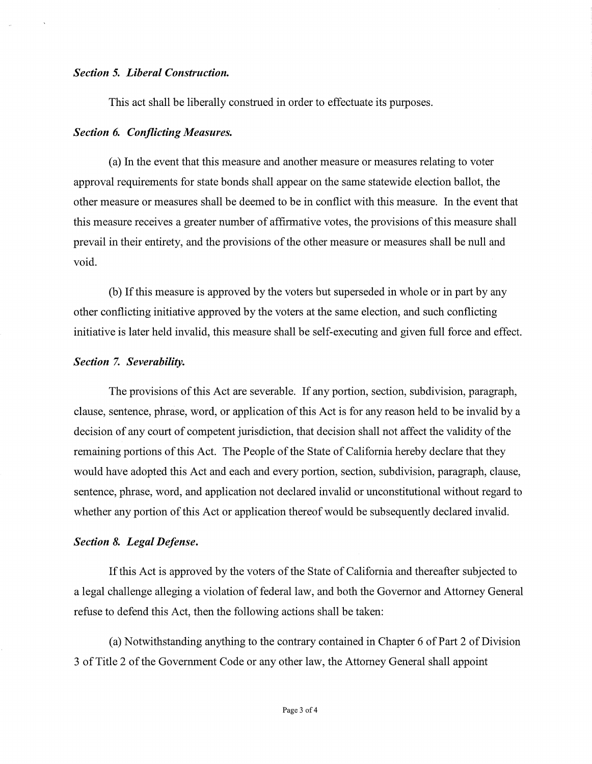# *Section 5. Liberal Construction.*

This act shall be liberally construed in order to effectuate its purposes.

#### *Section 6. Conflicting Measures.*

(a) In the event that this measure and another measure or measures relating to voter approval requirements for state bonds shall appear on the same statewide election ballot, the other measure or measures shall be deemed to be in conflict with this measure. In the event that this measure receives a greater number of affirmative votes, the provisions of this measure shall prevail in their entirety, and the provisions of the other measure or measures shall be null and void.

(b) If this measure is approved by the voters but superseded in whole or in part by any other conflicting initiative approved by the voters at the same election, and such conflicting initiative is later held invalid, this measure shall be self-executing and given full force and effect.

## *Section 7. Severability.*

The provisions of this Act are severable. If any portion, section, subdivision, paragraph, clause, sentence, phrase, word, or application of this Act is for any reason held to be invalid by a decision of any court of competent jurisdiction, that decision shall not affect the validity of the remaining portions of this Act. The People of the State of California hereby declare that they would have adopted this Act and each and every portion, section, subdivision, paragraph, clause, sentence, phrase, word, and application not declared invalid or unconstitutional without regard to whether any portion of this Act or application thereof would be subsequently declared invalid.

# *Section 8. Legal Defense.*

If this Act is approved by the voters of the State of California and thereafter subjected to a legal challenge alleging a violation of federal law, and both the Governor and Attorney General refuse to defend this Act, then the following actions shall be taken:

(a) Notwithstanding anything to the contrary contained in Chapter 6 of Part 2 of Division 3 of Title 2 of the Government Code or any other law, the Attorney General shall appoint